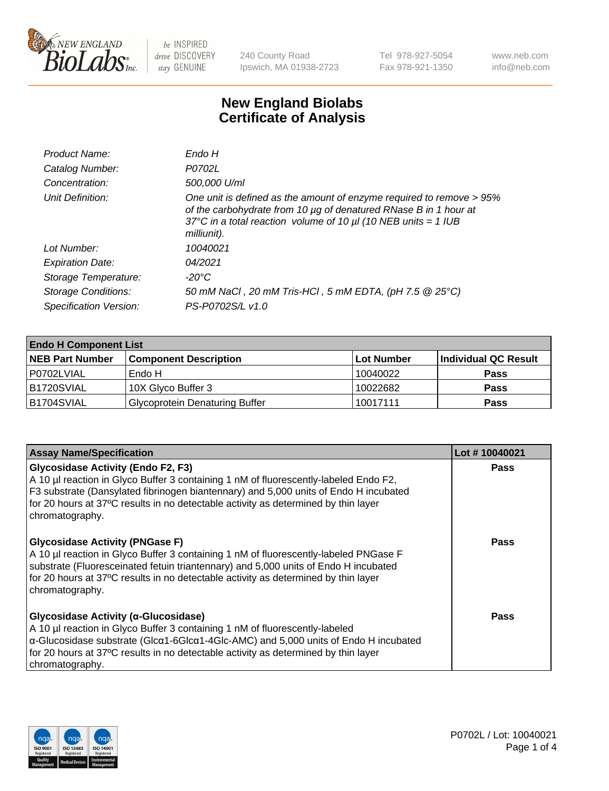

240 County Road Ipswich, MA 01938-2723 Tel 978-927-5054 Fax 978-921-1350 www.neb.com info@neb.com

## **New England Biolabs Certificate of Analysis**

| Product Name:              | Endo H                                                                                                                                                                                                                         |
|----------------------------|--------------------------------------------------------------------------------------------------------------------------------------------------------------------------------------------------------------------------------|
| Catalog Number:            | P0702L                                                                                                                                                                                                                         |
| Concentration:             | 500,000 U/ml                                                                                                                                                                                                                   |
| Unit Definition:           | One unit is defined as the amount of enzyme required to remove > 95%<br>of the carbohydrate from 10 µg of denatured RNase B in 1 hour at<br>37°C in a total reaction volume of 10 $\mu$ l (10 NEB units = 1 IUB<br>milliunit). |
| Lot Number:                | 10040021                                                                                                                                                                                                                       |
| <b>Expiration Date:</b>    | 04/2021                                                                                                                                                                                                                        |
| Storage Temperature:       | -20°C                                                                                                                                                                                                                          |
| <b>Storage Conditions:</b> | 50 mM NaCl, 20 mM Tris-HCl, 5 mM EDTA, (pH 7.5 @ 25°C)                                                                                                                                                                         |
| Specification Version:     | PS-P0702S/L v1.0                                                                                                                                                                                                               |

| <b>Endo H Component List</b> |                                       |             |                      |  |
|------------------------------|---------------------------------------|-------------|----------------------|--|
| <b>NEB Part Number</b>       | <b>Component Description</b>          | ∣Lot Number | Individual QC Result |  |
| P0702LVIAL                   | Endo H                                | 10040022    | <b>Pass</b>          |  |
| B1720SVIAL                   | 10X Glyco Buffer 3                    | 10022682    | <b>Pass</b>          |  |
| B1704SVIAL                   | <b>Glycoprotein Denaturing Buffer</b> | 10017111    | <b>Pass</b>          |  |

| <b>Assay Name/Specification</b>                                                                                                                                                                                                                                                                                                               | Lot #10040021 |
|-----------------------------------------------------------------------------------------------------------------------------------------------------------------------------------------------------------------------------------------------------------------------------------------------------------------------------------------------|---------------|
| <b>Glycosidase Activity (Endo F2, F3)</b><br>A 10 µl reaction in Glyco Buffer 3 containing 1 nM of fluorescently-labeled Endo F2,<br>F3 substrate (Dansylated fibrinogen biantennary) and 5,000 units of Endo H incubated<br>for 20 hours at 37°C results in no detectable activity as determined by thin layer<br>chromatography.            | <b>Pass</b>   |
| <b>Glycosidase Activity (PNGase F)</b><br>A 10 µl reaction in Glyco Buffer 3 containing 1 nM of fluorescently-labeled PNGase F<br>substrate (Fluoresceinated fetuin triantennary) and 5,000 units of Endo H incubated<br>for 20 hours at 37°C results in no detectable activity as determined by thin layer<br>chromatography.                | Pass          |
| Glycosidase Activity (α-Glucosidase)<br>A 10 µl reaction in Glyco Buffer 3 containing 1 nM of fluorescently-labeled<br>$\alpha$ -Glucosidase substrate (Glc $\alpha$ 1-6Glc $\alpha$ 1-4Glc-AMC) and 5,000 units of Endo H incubated<br>for 20 hours at 37°C results in no detectable activity as determined by thin layer<br>chromatography. | Pass          |

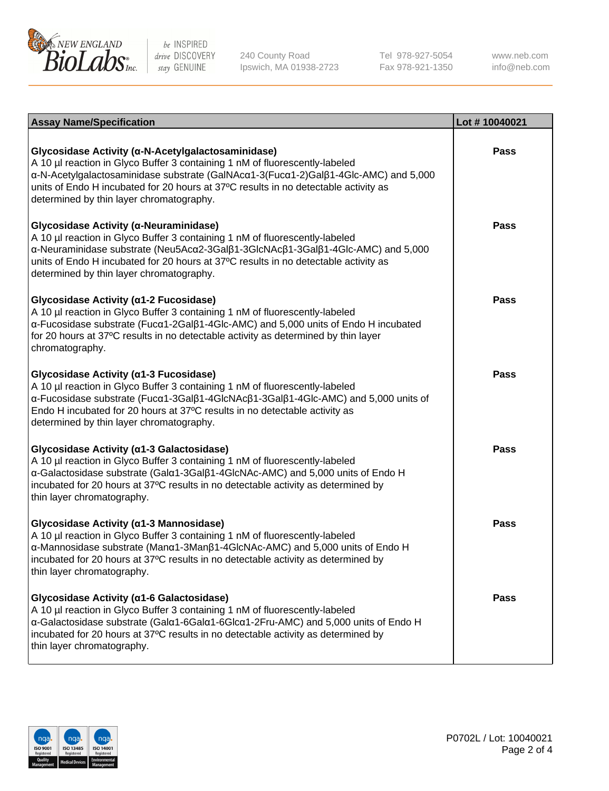

240 County Road Ipswich, MA 01938-2723 Tel 978-927-5054 Fax 978-921-1350

www.neb.com info@neb.com

| <b>Assay Name/Specification</b>                                                                                                                                                                                                                                                                                                                             | Lot #10040021 |
|-------------------------------------------------------------------------------------------------------------------------------------------------------------------------------------------------------------------------------------------------------------------------------------------------------------------------------------------------------------|---------------|
| Glycosidase Activity (α-N-Acetylgalactosaminidase)<br>A 10 µl reaction in Glyco Buffer 3 containing 1 nM of fluorescently-labeled<br>α-N-Acetylgalactosaminidase substrate (GalNAcα1-3(Fucα1-2)Galβ1-4Glc-AMC) and 5,000<br>units of Endo H incubated for 20 hours at 37°C results in no detectable activity as<br>determined by thin layer chromatography. | <b>Pass</b>   |
| Glycosidase Activity (α-Neuraminidase)<br>A 10 µl reaction in Glyco Buffer 3 containing 1 nM of fluorescently-labeled<br>α-Neuraminidase substrate (Neu5Acα2-3Galβ1-3GlcNAcβ1-3Galβ1-4Glc-AMC) and 5,000<br>units of Endo H incubated for 20 hours at 37°C results in no detectable activity as<br>determined by thin layer chromatography.                 | <b>Pass</b>   |
| Glycosidase Activity (α1-2 Fucosidase)<br>A 10 µl reaction in Glyco Buffer 3 containing 1 nM of fluorescently-labeled<br>α-Fucosidase substrate (Fucα1-2Galβ1-4Glc-AMC) and 5,000 units of Endo H incubated<br>for 20 hours at 37°C results in no detectable activity as determined by thin layer<br>chromatography.                                        | <b>Pass</b>   |
| Glycosidase Activity (α1-3 Fucosidase)<br>A 10 µl reaction in Glyco Buffer 3 containing 1 nM of fluorescently-labeled<br>α-Fucosidase substrate (Fucα1-3Galβ1-4GlcNAcβ1-3Galβ1-4Glc-AMC) and 5,000 units of<br>Endo H incubated for 20 hours at 37°C results in no detectable activity as<br>determined by thin layer chromatography.                       | <b>Pass</b>   |
| Glycosidase Activity (α1-3 Galactosidase)<br>A 10 µl reaction in Glyco Buffer 3 containing 1 nM of fluorescently-labeled<br>α-Galactosidase substrate (Galα1-3Galβ1-4GlcNAc-AMC) and 5,000 units of Endo H<br>incubated for 20 hours at 37°C results in no detectable activity as determined by<br>thin layer chromatography.                               | <b>Pass</b>   |
| Glycosidase Activity (a1-3 Mannosidase)<br>A 10 µl reaction in Glyco Buffer 3 containing 1 nM of fluorescently-labeled<br>α-Mannosidase substrate (Manα1-3Manβ1-4GlcNAc-AMC) and 5,000 units of Endo H<br>incubated for 20 hours at 37°C results in no detectable activity as determined by<br>thin layer chromatography.                                   | <b>Pass</b>   |
| Glycosidase Activity (a1-6 Galactosidase)<br>A 10 µl reaction in Glyco Buffer 3 containing 1 nM of fluorescently-labeled<br>α-Galactosidase substrate (Galα1-6Galα1-6Glcα1-2Fru-AMC) and 5,000 units of Endo H<br>incubated for 20 hours at 37°C results in no detectable activity as determined by<br>thin layer chromatography.                           | <b>Pass</b>   |

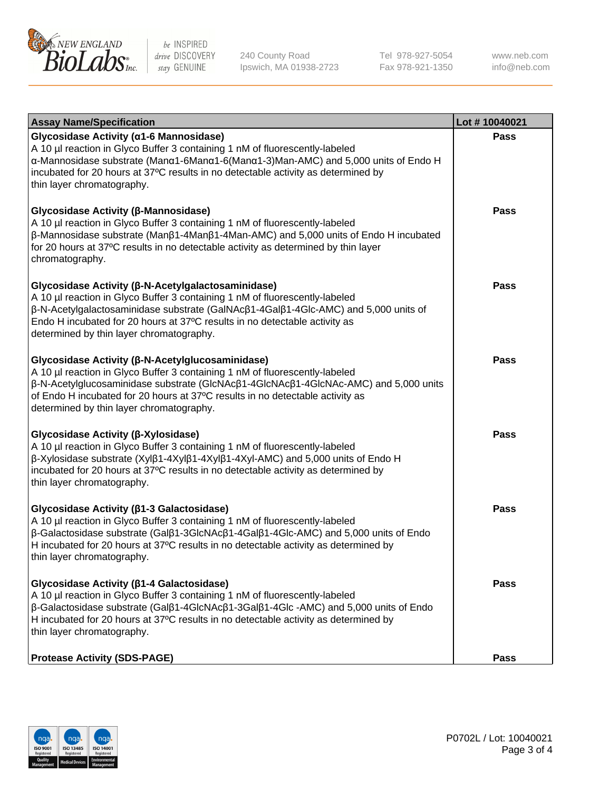

240 County Road Ipswich, MA 01938-2723 Tel 978-927-5054 Fax 978-921-1350 www.neb.com info@neb.com

| <b>Assay Name/Specification</b>                                                                                                                                                                                                                                                                                                                                      | Lot #10040021 |
|----------------------------------------------------------------------------------------------------------------------------------------------------------------------------------------------------------------------------------------------------------------------------------------------------------------------------------------------------------------------|---------------|
| Glycosidase Activity (α1-6 Mannosidase)<br>A 10 µl reaction in Glyco Buffer 3 containing 1 nM of fluorescently-labeled<br>α-Mannosidase substrate (Manα1-6Manα1-6(Manα1-3)Man-AMC) and 5,000 units of Endo H<br>incubated for 20 hours at 37°C results in no detectable activity as determined by<br>thin layer chromatography.                                      | <b>Pass</b>   |
| Glycosidase Activity (β-Mannosidase)<br>A 10 µl reaction in Glyco Buffer 3 containing 1 nM of fluorescently-labeled<br>$\beta$ -Mannosidase substrate (Man $\beta$ 1-4Man $\beta$ 1-4Man-AMC) and 5,000 units of Endo H incubated<br>for 20 hours at 37°C results in no detectable activity as determined by thin layer<br>chromatography.                           | Pass          |
| Glycosidase Activity (β-N-Acetylgalactosaminidase)<br>A 10 µl reaction in Glyco Buffer 3 containing 1 nM of fluorescently-labeled<br>β-N-Acetylgalactosaminidase substrate (GalNAcβ1-4Galβ1-4Glc-AMC) and 5,000 units of<br>Endo H incubated for 20 hours at 37°C results in no detectable activity as<br>determined by thin layer chromatography.                   | <b>Pass</b>   |
| Glycosidase Activity (β-N-Acetylglucosaminidase)<br>A 10 µl reaction in Glyco Buffer 3 containing 1 nM of fluorescently-labeled<br>β-N-Acetylglucosaminidase substrate (GlcNAcβ1-4GlcNAcβ1-4GlcNAc-AMC) and 5,000 units<br>of Endo H incubated for 20 hours at 37°C results in no detectable activity as<br>determined by thin layer chromatography.                 | <b>Pass</b>   |
| Glycosidase Activity (β-Xylosidase)<br>A 10 µl reaction in Glyco Buffer 3 containing 1 nM of fluorescently-labeled<br>$\beta$ -Xylosidase substrate (Xyl $\beta$ 1-4Xyl $\beta$ 1-4Xyl $\beta$ 1-4Xyl-AMC) and 5,000 units of Endo H<br>incubated for 20 hours at 37°C results in no detectable activity as determined by<br>thin layer chromatography.              | <b>Pass</b>   |
| Glycosidase Activity (β1-3 Galactosidase)<br>A 10 µl reaction in Glyco Buffer 3 containing 1 nM of fluorescently-labeled<br>β-Galactosidase substrate (Galβ1-3GlcNAcβ1-4Galβ1-4Glc-AMC) and 5,000 units of Endo<br>H incubated for 20 hours at 37°C results in no detectable activity as determined by<br>thin layer chromatography.                                 | <b>Pass</b>   |
| Glycosidase Activity (β1-4 Galactosidase)<br>A 10 µl reaction in Glyco Buffer 3 containing 1 nM of fluorescently-labeled<br>$\beta$ -Galactosidase substrate (Gal $\beta$ 1-4GlcNAc $\beta$ 1-3Gal $\beta$ 1-4Glc -AMC) and 5,000 units of Endo<br>H incubated for 20 hours at 37°C results in no detectable activity as determined by<br>thin layer chromatography. | Pass          |
| <b>Protease Activity (SDS-PAGE)</b>                                                                                                                                                                                                                                                                                                                                  | <b>Pass</b>   |